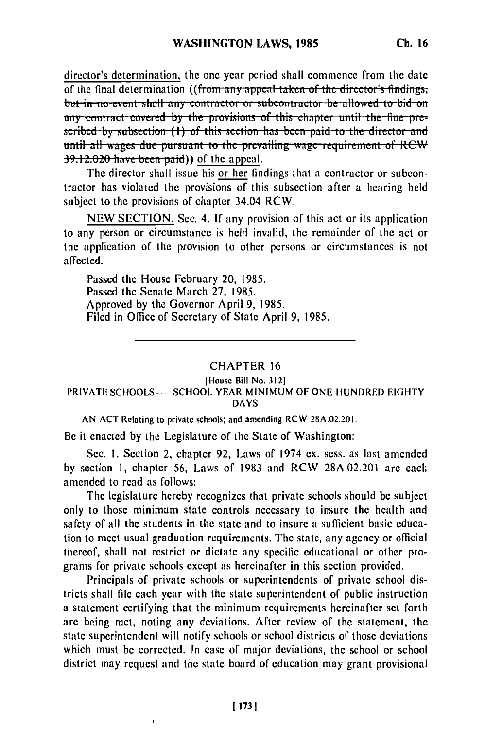director's determination, the one year period shall commence from the date of the final determination ((from any appeal taken of the director's findings. but in no event shall any contractor or subcontractor be allowed to bid on any contract covered by the provisions of this chapter until the fine pre**tubed by subsection (1) of this section has been paid to the director and until all wages due pursuant to the prevailing wage requirement of RCW 39.12.020 have been paid)** of the appeal.

The director shall issue his or her findings that a contractor or subcontractor has violated the provisions of this subsection after a hearing held subject to the provisions of chapter 34.04 RCW.

NEW SECTION. Sec. 4. **If** any provision of this act or its application to any person or circumstance is held invalid, the remainder of the act or the application of the provision to other persons or circumstances is not affected.

Passed the House February 20, 1985. Passed the Senate March 27, 1985. Approved by the Governor April 9, 1985. Filed in Office of Secretary of State April 9, 1985.

## CHAPTER 16

## [House Bill No. **3121** PRIVATE SCHOOLS-SCHOOL YEAR MINIMUM OF ONE HUNDRED EIGHTY

DAYS

AN ACT Relating to private schools; and amending RCW 28A.02.201.

Be it enacted by the Legislature of the State of Washington:

Sec. I. Section 2, chapter 92, Laws of 1974 ex. sess. as last amended by section **1,** chapter 56, Laws of 1983 and RCW 28A 02.201 are each amended to read as follows:

The legislature hereby recognizes that private schools should be subject only to those minimum state controls necessary to insure the health and safety of all the students in the state and to insure a sufficient basic education to meet usual graduation requirements. The state, any agency or official thereof, shall not restrict or dictate any specific educational or other programs for private schools except as hereinafter in this section provided.

Principals of private schools or superintendents of private school districts shall file each year with the state superintendent of public instruction a statement certifying that the minimum requirements hereinafter set forth are being met, noting any deviations. After review of the statement, the state superintendent will notify schools or school districts of those deviations which must be corrected. In case of major deviations, the school or school district may request and the state board of education may grant provisional

 $\mathbf{I}$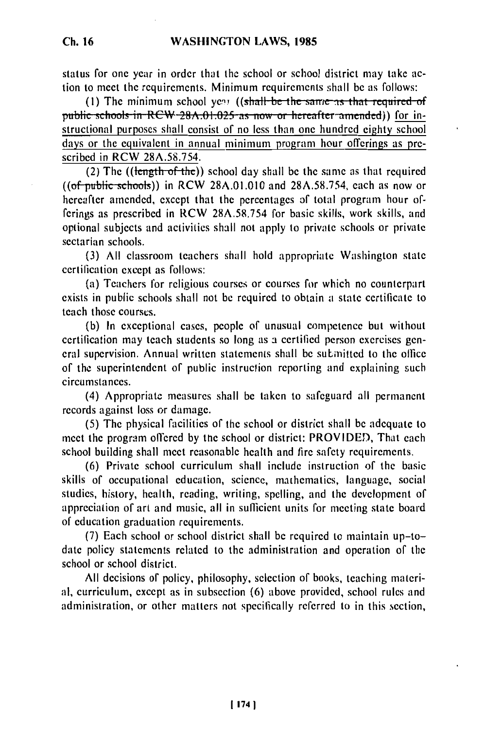status for one year in order that the school or school district may take action to meet the requirements. Minimum requirements shall be as follows:

(1) The minimum school year ((shall be the same as that required of public schools in RCW 28A.01.025 as now or hereafter amended)) for instructional purposes shall consist of no less than one hundred eighty school days or the equivalent in annual minimum program hour offerings as prescribed in RCW 28A.58.754.

(2) The ((length of **the))** school day shall be the same as that required ((of public sc.hools)) in RCW **28A.01.010** and **28A.58.754,** each as now or hereafter amended, except that the percentages **of** total program hour offerings as prescribed in RCW 28A.58.754 for basic skills, work skills, and optional subjects and activities shall not apply to private schools or private sectarian schools.

**(3) All** classroom teachers shall hold appropriate Washington state certification except as follows:

(a) Teachers for religious courses or courses for which no counterpart exists in public schools shall not be required to obtain a state certificate to teach those courses.

(b) In exceptional cases, people of unusual competence but without certification may teach students so long as a certified person exercises general supervision. Annual written statements shall be submitted to the office of the superintendent of public instruclion reporting and explaining such circumstances.

(4) Appropriate measures shall be taken to safeguard all permanent records against loss or damage.

(5) The physical facilities of the school or district shall be adequate to meet the program offered by tne school or district: PROVIDED, That each school building shall meet reasonable health and fire safety requirements.

(6) Private school curriculum shall include instruction of the basic skills of occupational education, science, mathematics, language, social studies, history, health, reading, writing, spelling, and the development of appreciation of art and music, all in sufficient units for meeting state board of education graduation requirements.

(7) Each school or school district shall be required to maintain up-todate policy statements related **to** the administration and operation of the school or school district.

All decisions of policy, philosophy, selection of books, teaching material, curriculum, except as in subsection (6) above provided, school rules and administration, or other matters not specifically referred to in this section,